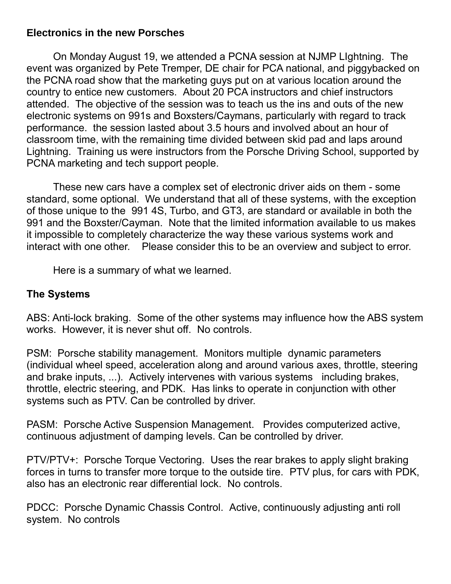### **Electronics in the new Porsches**

On Monday August 19, we attended a PCNA session at NJMP LIghtning. The event was organized by Pete Tremper, DE chair for PCA national, and piggybacked on the PCNA road show that the marketing guys put on at various location around the country to entice new customers. About 20 PCA instructors and chief instructors attended. The objective of the session was to teach us the ins and outs of the new electronic systems on 991s and Boxsters/Caymans, particularly with regard to track performance. the session lasted about 3.5 hours and involved about an hour of classroom time, with the remaining time divided between skid pad and laps around Lightning. Training us were instructors from the Porsche Driving School, supported by PCNA marketing and tech support people.

These new cars have a complex set of electronic driver aids on them - some standard, some optional. We understand that all of these systems, with the exception of those unique to the 991 4S, Turbo, and GT3, are standard or available in both the 991 and the Boxster/Cayman. Note that the limited information available to us makes it impossible to completely characterize the way these various systems work and interact with one other. Please consider this to be an overview and subject to error.

Here is a summary of what we learned.

# **The Systems**

ABS: Anti-lock braking. Some of the other systems may influence how the ABS system works. However, it is never shut off. No controls.

PSM: Porsche stability management. Monitors multiple dynamic parameters (individual wheel speed, acceleration along and around various axes, throttle, steering and brake inputs, ...). Actively intervenes with various systems including brakes, throttle, electric steering, and PDK. Has links to operate in conjunction with other systems such as PTV. Can be controlled by driver.

PASM: Porsche Active Suspension Management. Provides computerized active, continuous adjustment of damping levels. Can be controlled by driver.

PTV/PTV+: Porsche Torque Vectoring. Uses the rear brakes to apply slight braking forces in turns to transfer more torque to the outside tire. PTV plus, for cars with PDK, also has an electronic rear differential lock. No controls.

PDCC: Porsche Dynamic Chassis Control. Active, continuously adjusting anti roll system. No controls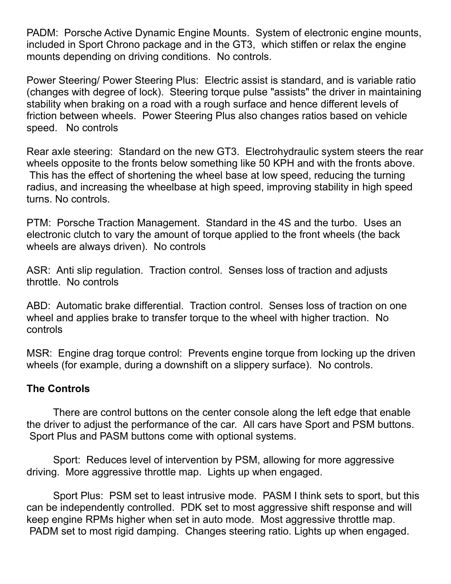PADM: Porsche Active Dynamic Engine Mounts. System of electronic engine mounts, included in Sport Chrono package and in the GT3, which stiffen or relax the engine mounts depending on driving conditions. No controls.

Power Steering/ Power Steering Plus: Electric assist is standard, and is variable ratio (changes with degree of lock). Steering torque pulse "assists" the driver in maintaining stability when braking on a road with a rough surface and hence different levels of friction between wheels. Power Steering Plus also changes ratios based on vehicle speed. No controls

Rear axle steering: Standard on the new GT3. Electrohydraulic system steers the rear wheels opposite to the fronts below something like 50 KPH and with the fronts above. This has the effect of shortening the wheel base at low speed, reducing the turning radius, and increasing the wheelbase at high speed, improving stability in high speed turns. No controls.

PTM: Porsche Traction Management. Standard in the 4S and the turbo. Uses an electronic clutch to vary the amount of torque applied to the front wheels (the back wheels are always driven). No controls

ASR: Anti slip regulation. Traction control. Senses loss of traction and adjusts throttle. No controls

ABD: Automatic brake differential. Traction control. Senses loss of traction on one wheel and applies brake to transfer torque to the wheel with higher traction. No controls

MSR: Engine drag torque control: Prevents engine torque from locking up the driven wheels (for example, during a downshift on a slippery surface). No controls.

### **The Controls**

There are control buttons on the center console along the left edge that enable the driver to adjust the performance of the car. All cars have Sport and PSM buttons. Sport Plus and PASM buttons come with optional systems.

Sport: Reduces level of intervention by PSM, allowing for more aggressive driving. More aggressive throttle map. Lights up when engaged.

Sport Plus: PSM set to least intrusive mode. PASM I think sets to sport, but this can be independently controlled. PDK set to most aggressive shift response and will keep engine RPMs higher when set in auto mode. Most aggressive throttle map. PADM set to most rigid damping. Changes steering ratio. Lights up when engaged.